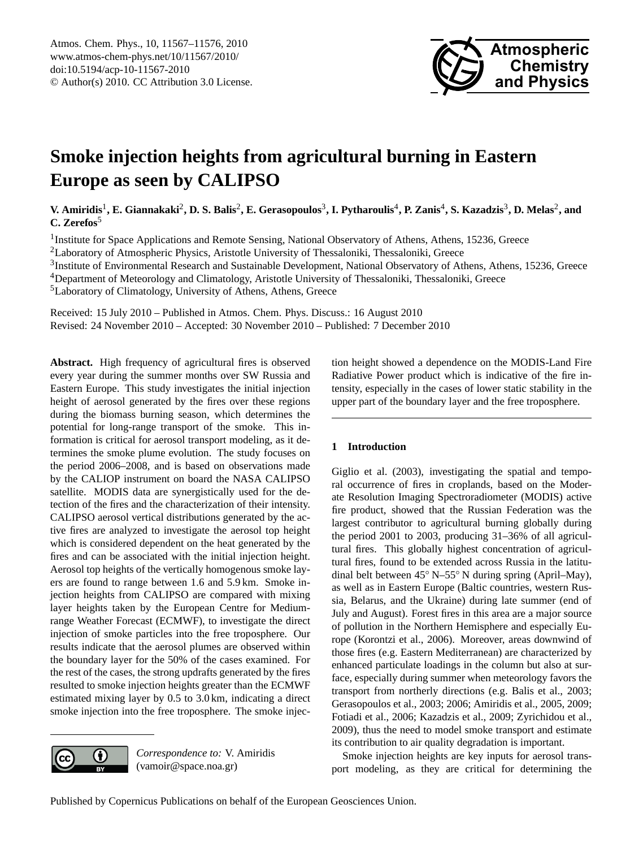

# <span id="page-0-0"></span>**Smoke injection heights from agricultural burning in Eastern Europe as seen by CALIPSO**

 $V$ . Amiridis<sup>1</sup>, E. Giannakaki<sup>2</sup>, D. S. Balis<sup>2</sup>, E. Gerasopoulos<sup>3</sup>, I. Pytharoulis<sup>4</sup>, P. Zanis<sup>4</sup>, S. Kazadzis<sup>3</sup>, D. Melas<sup>2</sup>, and **C. Zerefos**<sup>5</sup>

<sup>1</sup>Institute for Space Applications and Remote Sensing, National Observatory of Athens, Athens, 15236, Greece <sup>2</sup>Laboratory of Atmospheric Physics, Aristotle University of Thessaloniki, Thessaloniki, Greece <sup>3</sup>Institute of Environmental Research and Sustainable Development, National Observatory of Athens, Athens, 15236, Greece <sup>4</sup>Department of Meteorology and Climatology, Aristotle University of Thessaloniki, Thessaloniki, Greece <sup>5</sup>Laboratory of Climatology, University of Athens, Athens, Greece

Received: 15 July 2010 – Published in Atmos. Chem. Phys. Discuss.: 16 August 2010 Revised: 24 November 2010 – Accepted: 30 November 2010 – Published: 7 December 2010

**Abstract.** High frequency of agricultural fires is observed every year during the summer months over SW Russia and Eastern Europe. This study investigates the initial injection height of aerosol generated by the fires over these regions during the biomass burning season, which determines the potential for long-range transport of the smoke. This information is critical for aerosol transport modeling, as it determines the smoke plume evolution. The study focuses on the period 2006–2008, and is based on observations made by the CALIOP instrument on board the NASA CALIPSO satellite. MODIS data are synergistically used for the detection of the fires and the characterization of their intensity. CALIPSO aerosol vertical distributions generated by the active fires are analyzed to investigate the aerosol top height which is considered dependent on the heat generated by the fires and can be associated with the initial injection height. Aerosol top heights of the vertically homogenous smoke layers are found to range between 1.6 and 5.9 km. Smoke injection heights from CALIPSO are compared with mixing layer heights taken by the European Centre for Mediumrange Weather Forecast (ECMWF), to investigate the direct injection of smoke particles into the free troposphere. Our results indicate that the aerosol plumes are observed within the boundary layer for the 50% of the cases examined. For the rest of the cases, the strong updrafts generated by the fires resulted to smoke injection heights greater than the ECMWF estimated mixing layer by 0.5 to 3.0 km, indicating a direct smoke injection into the free troposphere. The smoke injec-



*Correspondence to:* V. Amiridis (vamoir@space.noa.gr)

tion height showed a dependence on the MODIS-Land Fire Radiative Power product which is indicative of the fire intensity, especially in the cases of lower static stability in the upper part of the boundary layer and the free troposphere.

# **1 Introduction**

Giglio et al. (2003), investigating the spatial and temporal occurrence of fires in croplands, based on the Moderate Resolution Imaging Spectroradiometer (MODIS) active fire product, showed that the Russian Federation was the largest contributor to agricultural burning globally during the period 2001 to 2003, producing 31–36% of all agricultural fires. This globally highest concentration of agricultural fires, found to be extended across Russia in the latitudinal belt between 45◦ N–55◦ N during spring (April–May), as well as in Eastern Europe (Baltic countries, western Russia, Belarus, and the Ukraine) during late summer (end of July and August). Forest fires in this area are a major source of pollution in the Northern Hemisphere and especially Europe (Korontzi et al., 2006). Moreover, areas downwind of those fires (e.g. Eastern Mediterranean) are characterized by enhanced particulate loadings in the column but also at surface, especially during summer when meteorology favors the transport from northerly directions (e.g. Balis et al., 2003; Gerasopoulos et al., 2003; 2006; Amiridis et al., 2005, 2009; Fotiadi et al., 2006; Kazadzis et al., 2009; Zyrichidou et al., 2009), thus the need to model smoke transport and estimate its contribution to air quality degradation is important.

Smoke injection heights are key inputs for aerosol transport modeling, as they are critical for determining the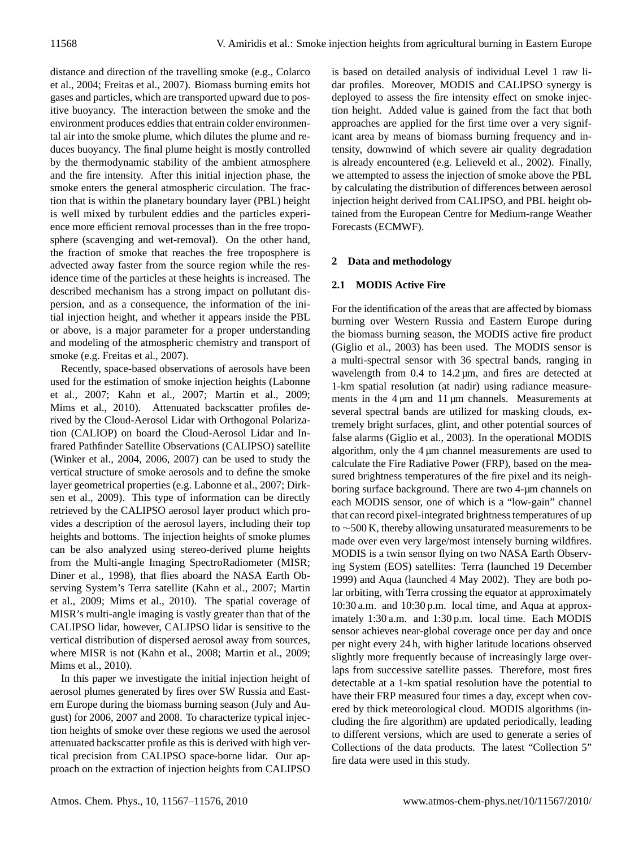distance and direction of the travelling smoke (e.g., Colarco et al., 2004; Freitas et al., 2007). Biomass burning emits hot gases and particles, which are transported upward due to positive buoyancy. The interaction between the smoke and the environment produces eddies that entrain colder environmental air into the smoke plume, which dilutes the plume and reduces buoyancy. The final plume height is mostly controlled by the thermodynamic stability of the ambient atmosphere and the fire intensity. After this initial injection phase, the smoke enters the general atmospheric circulation. The fraction that is within the planetary boundary layer (PBL) height is well mixed by turbulent eddies and the particles experience more efficient removal processes than in the free troposphere (scavenging and wet-removal). On the other hand, the fraction of smoke that reaches the free troposphere is advected away faster from the source region while the residence time of the particles at these heights is increased. The described mechanism has a strong impact on pollutant dispersion, and as a consequence, the information of the initial injection height, and whether it appears inside the PBL or above, is a major parameter for a proper understanding and modeling of the atmospheric chemistry and transport of smoke (e.g. Freitas et al., 2007).

Recently, space-based observations of aerosols have been used for the estimation of smoke injection heights (Labonne et al., 2007; Kahn et al., 2007; Martin et al., 2009; Mims et al., 2010). Attenuated backscatter profiles derived by the Cloud-Aerosol Lidar with Orthogonal Polarization (CALIOP) on board the Cloud-Aerosol Lidar and Infrared Pathfinder Satellite Observations (CALIPSO) satellite (Winker et al., 2004, 2006, 2007) can be used to study the vertical structure of smoke aerosols and to define the smoke layer geometrical properties (e.g. Labonne et al., 2007; Dirksen et al., 2009). This type of information can be directly retrieved by the CALIPSO aerosol layer product which provides a description of the aerosol layers, including their top heights and bottoms. The injection heights of smoke plumes can be also analyzed using stereo-derived plume heights from the Multi-angle Imaging SpectroRadiometer (MISR; Diner et al., 1998), that flies aboard the NASA Earth Observing System's Terra satellite (Kahn et al., 2007; Martin et al., 2009; Mims et al., 2010). The spatial coverage of MISR's multi-angle imaging is vastly greater than that of the CALIPSO lidar, however, CALIPSO lidar is sensitive to the vertical distribution of dispersed aerosol away from sources, where MISR is not (Kahn et al., 2008; Martin et al., 2009; Mims et al., 2010).

In this paper we investigate the initial injection height of aerosol plumes generated by fires over SW Russia and Eastern Europe during the biomass burning season (July and August) for 2006, 2007 and 2008. To characterize typical injection heights of smoke over these regions we used the aerosol attenuated backscatter profile as this is derived with high vertical precision from CALIPSO space-borne lidar. Our approach on the extraction of injection heights from CALIPSO

is based on detailed analysis of individual Level 1 raw lidar profiles. Moreover, MODIS and CALIPSO synergy is deployed to assess the fire intensity effect on smoke injection height. Added value is gained from the fact that both approaches are applied for the first time over a very significant area by means of biomass burning frequency and intensity, downwind of which severe air quality degradation is already encountered (e.g. Lelieveld et al., 2002). Finally, we attempted to assess the injection of smoke above the PBL by calculating the distribution of differences between aerosol injection height derived from CALIPSO, and PBL height obtained from the European Centre for Medium-range Weather Forecasts (ECMWF).

# **2 Data and methodology**

# **2.1 MODIS Active Fire**

For the identification of the areas that are affected by biomass burning over Western Russia and Eastern Europe during the biomass burning season, the MODIS active fire product (Giglio et al., 2003) has been used. The MODIS sensor is a multi-spectral sensor with 36 spectral bands, ranging in wavelength from  $0.4$  to  $14.2 \mu m$ , and fires are detected at 1-km spatial resolution (at nadir) using radiance measurements in the  $4 \mu m$  and  $11 \mu m$  channels. Measurements at several spectral bands are utilized for masking clouds, extremely bright surfaces, glint, and other potential sources of false alarms (Giglio et al., 2003). In the operational MODIS algorithm, only the  $4 \mu m$  channel measurements are used to calculate the Fire Radiative Power (FRP), based on the measured brightness temperatures of the fire pixel and its neighboring surface background. There are two 4-µm channels on each MODIS sensor, one of which is a "low-gain" channel that can record pixel-integrated brightness temperatures of up to ∼500 K, thereby allowing unsaturated measurements to be made over even very large/most intensely burning wildfires. MODIS is a twin sensor flying on two NASA Earth Observing System (EOS) satellites: Terra (launched 19 December 1999) and Aqua (launched 4 May 2002). They are both polar orbiting, with Terra crossing the equator at approximately 10:30 a.m. and 10:30 p.m. local time, and Aqua at approximately 1:30 a.m. and 1:30 p.m. local time. Each MODIS sensor achieves near-global coverage once per day and once per night every 24 h, with higher latitude locations observed slightly more frequently because of increasingly large overlaps from successive satellite passes. Therefore, most fires detectable at a 1-km spatial resolution have the potential to have their FRP measured four times a day, except when covered by thick meteorological cloud. MODIS algorithms (including the fire algorithm) are updated periodically, leading to different versions, which are used to generate a series of Collections of the data products. The latest "Collection 5" fire data were used in this study.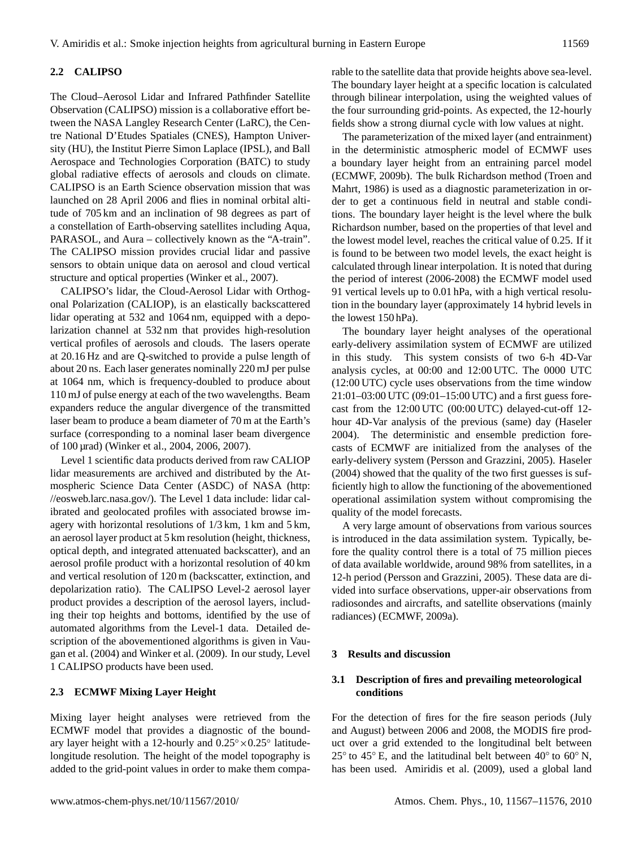# **2.2 CALIPSO**

The Cloud–Aerosol Lidar and Infrared Pathfinder Satellite Observation (CALIPSO) mission is a collaborative effort between the NASA Langley Research Center (LaRC), the Centre National D'Etudes Spatiales (CNES), Hampton University (HU), the Institut Pierre Simon Laplace (IPSL), and Ball Aerospace and Technologies Corporation (BATC) to study global radiative effects of aerosols and clouds on climate. CALIPSO is an Earth Science observation mission that was launched on 28 April 2006 and flies in nominal orbital altitude of 705 km and an inclination of 98 degrees as part of a constellation of Earth-observing satellites including Aqua, PARASOL, and Aura – collectively known as the "A-train". The CALIPSO mission provides crucial lidar and passive sensors to obtain unique data on aerosol and cloud vertical structure and optical properties (Winker et al., 2007).

CALIPSO's lidar, the Cloud-Aerosol Lidar with Orthogonal Polarization (CALIOP), is an elastically backscattered lidar operating at 532 and 1064 nm, equipped with a depolarization channel at 532 nm that provides high-resolution vertical profiles of aerosols and clouds. The lasers operate at 20.16 Hz and are Q-switched to provide a pulse length of about 20 ns. Each laser generates nominally 220 mJ per pulse at 1064 nm, which is frequency-doubled to produce about 110 mJ of pulse energy at each of the two wavelengths. Beam expanders reduce the angular divergence of the transmitted laser beam to produce a beam diameter of 70 m at the Earth's surface (corresponding to a nominal laser beam divergence of 100 µrad) (Winker et al., 2004, 2006, 2007).

Level 1 scientific data products derived from raw CALIOP lidar measurements are archived and distributed by the Atmospheric Science Data Center (ASDC) of NASA [\(http:](http://eosweb.larc.nasa.gov/) [//eosweb.larc.nasa.gov/\)](http://eosweb.larc.nasa.gov/). The Level 1 data include: lidar calibrated and geolocated profiles with associated browse imagery with horizontal resolutions of 1/3 km, 1 km and 5 km, an aerosol layer product at 5 km resolution (height, thickness, optical depth, and integrated attenuated backscatter), and an aerosol profile product with a horizontal resolution of 40 km and vertical resolution of 120 m (backscatter, extinction, and depolarization ratio). The CALIPSO Level-2 aerosol layer product provides a description of the aerosol layers, including their top heights and bottoms, identified by the use of automated algorithms from the Level-1 data. Detailed description of the abovementioned algorithms is given in Vaugan et al. (2004) and Winker et al. (2009). In our study, Level 1 CALIPSO products have been used.

## **2.3 ECMWF Mixing Layer Height**

Mixing layer height analyses were retrieved from the ECMWF model that provides a diagnostic of the boundary layer height with a 12-hourly and 0.25◦×0.25◦ latitudelongitude resolution. The height of the model topography is added to the grid-point values in order to make them comparable to the satellite data that provide heights above sea-level. The boundary layer height at a specific location is calculated through bilinear interpolation, using the weighted values of the four surrounding grid-points. As expected, the 12-hourly fields show a strong diurnal cycle with low values at night.

The parameterization of the mixed layer (and entrainment) in the deterministic atmospheric model of ECMWF uses a boundary layer height from an entraining parcel model (ECMWF, 2009b). The bulk Richardson method (Troen and Mahrt, 1986) is used as a diagnostic parameterization in order to get a continuous field in neutral and stable conditions. The boundary layer height is the level where the bulk Richardson number, based on the properties of that level and the lowest model level, reaches the critical value of 0.25. If it is found to be between two model levels, the exact height is calculated through linear interpolation. It is noted that during the period of interest (2006-2008) the ECMWF model used 91 vertical levels up to 0.01 hPa, with a high vertical resolution in the boundary layer (approximately 14 hybrid levels in the lowest 150 hPa).

The boundary layer height analyses of the operational early-delivery assimilation system of ECMWF are utilized in this study. This system consists of two 6-h 4D-Var analysis cycles, at 00:00 and 12:00 UTC. The 0000 UTC (12:00 UTC) cycle uses observations from the time window 21:01–03:00 UTC (09:01–15:00 UTC) and a first guess forecast from the 12:00 UTC (00:00 UTC) delayed-cut-off 12 hour 4D-Var analysis of the previous (same) day (Haseler 2004). The deterministic and ensemble prediction forecasts of ECMWF are initialized from the analyses of the early-delivery system (Persson and Grazzini, 2005). Haseler (2004) showed that the quality of the two first guesses is sufficiently high to allow the functioning of the abovementioned operational assimilation system without compromising the quality of the model forecasts.

A very large amount of observations from various sources is introduced in the data assimilation system. Typically, before the quality control there is a total of 75 million pieces of data available worldwide, around 98% from satellites, in a 12-h period (Persson and Grazzini, 2005). These data are divided into surface observations, upper-air observations from radiosondes and aircrafts, and satellite observations (mainly radiances) (ECMWF, 2009a).

# **3 Results and discussion**

# **3.1 Description of fires and prevailing meteorological conditions**

For the detection of fires for the fire season periods (July and August) between 2006 and 2008, the MODIS fire product over a grid extended to the longitudinal belt between 25 $\degree$  to 45 $\degree$  E, and the latitudinal belt between 40 $\degree$  to 60 $\degree$  N, has been used. Amiridis et al. (2009), used a global land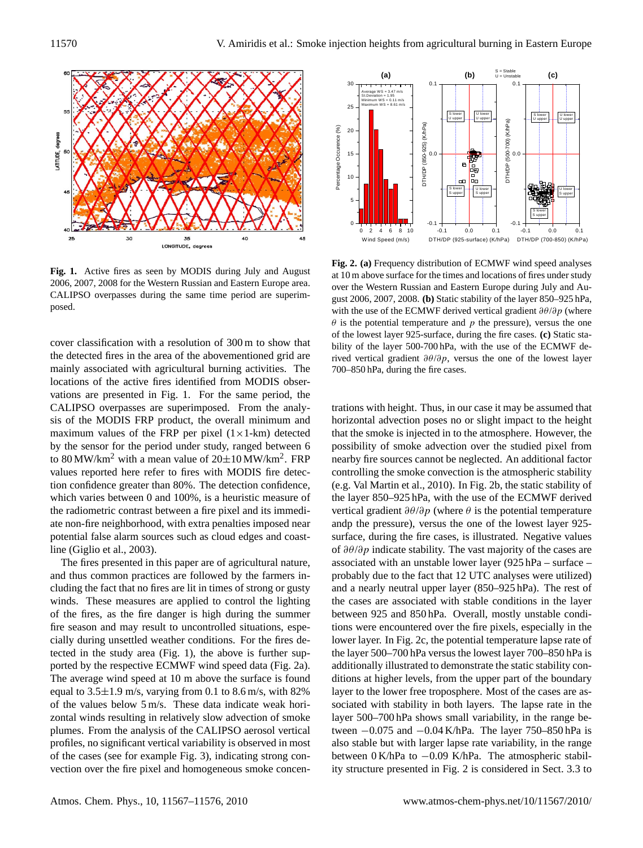

CALIPSO overpasses during the same time period are superim-**Fig. 1.** Active fires as seen by MODIS during July and August 2006, 2007, 2008 for the Western Russian and Eastern Europe area. posed.

cover classification with a resolution of 300 m to show that the detected fires in the area of the abovementioned grid are mainly associated with agricultural burning activities. The locations of the active fires identified from MODIS observations are presented in Fig. 1. For the same period, the CALIPSO overpasses are superimposed. From the analysis of the MODIS FRP product, the overall minimum and maximum values of the FRP per pixel  $(1 \times 1$ -km) detected by the sensor for the period under study, ranged between 6 to 80 MW/km<sup>2</sup> with a mean value of  $20\pm10$  MW/km<sup>2</sup>. FRP values reported here refer to fires with MODIS fire detection confidence greater than 80%. The detection confidence, which varies between 0 and 100%, is a heuristic measure of the radiometric contrast between a fire pixel and its immediate non-fire neighborhood, with extra penalties imposed near potential false alarm sources such as cloud edges and coastline (Giglio et al., 2003).

The fires presented in this paper are of agricultural nature, and thus common practices are followed by the farmers including the fact that no fires are lit in times of strong or gusty winds. These measures are applied to control the lighting of the fires, as the fire danger is high during the summer fire season and may result to uncontrolled situations, especially during unsettled weather conditions. For the fires detected in the study area (Fig. 1), the above is further supported by the respective ECMWF wind speed data (Fig. 2a). The average wind speed at 10 m above the surface is found equal to  $3.5\pm1.9$  m/s, varying from 0.1 to  $8.6$  m/s, with  $82\%$ of the values below 5 m/s. These data indicate weak horizontal winds resulting in relatively slow advection of smoke plumes. From the analysis of the CALIPSO aerosol vertical profiles, no significant vertical variability is observed in most of the cases (see for example Fig. 3), indicating strong convection over the fire pixel and homogeneous smoke concen-



Fig. 2. (a) Frequency distribution of ECMWF wind speed analyses at 10 m above surface for the times and locations of fires under study over the Western Russian and Eastern Europe during July and August 2006, 2007, 2008. **(b)** Static stability of the layer 850–925 hPa, with the use of the ECMWF derived vertical gradient  $\partial \theta / \partial p$  (where  $\theta$  is the potential temperature and p the pressure), versus the one of the lowest layer 925-surface, during the fire cases. **(c)** Static stability of the layer 500-700 hPa, with the use of the ECMWF derived vertical gradient  $\partial \theta / \partial p$ , versus the one of the lowest layer 700–850 hPa, during the fire cases.

trations with height. Thus, in our case it may be assumed that horizontal advection poses no or slight impact to the height that the smoke is injected in to the atmosphere. However, the possibility of smoke advection over the studied pixel from nearby fire sources cannot be neglected. An additional factor controlling the smoke convection is the atmospheric stability (e.g. Val Martin et al., 2010). In Fig. 2b, the static stability of the layer 850–925 hPa, with the use of the ECMWF derived vertical gradient  $\partial \theta / \partial p$  (where  $\theta$  is the potential temperature andp the pressure), versus the one of the lowest layer 925 surface, during the fire cases, is illustrated. Negative values of  $\partial \theta / \partial p$  indicate stability. The vast majority of the cases are associated with an unstable lower layer (925 hPa – surface – probably due to the fact that 12 UTC analyses were utilized) and a nearly neutral upper layer (850–925 hPa). The rest of the cases are associated with stable conditions in the layer between 925 and 850 hPa. Overall, mostly unstable conditions were encountered over the fire pixels, especially in the lower layer. In Fig. 2c, the potential temperature lapse rate of the layer 500–700 hPa versus the lowest layer 700–850 hPa is additionally illustrated to demonstrate the static stability conditions at higher levels, from the upper part of the boundary layer to the lower free troposphere. Most of the cases are associated with stability in both layers. The lapse rate in the layer 500–700 hPa shows small variability, in the range between −0.075 and −0.04 K/hPa. The layer 750–850 hPa is also stable but with larger lapse rate variability, in the range between 0 K/hPa to −0.09 K/hPa. The atmospheric stability structure presented in Fig. 2 is considered in Sect. 3.3 to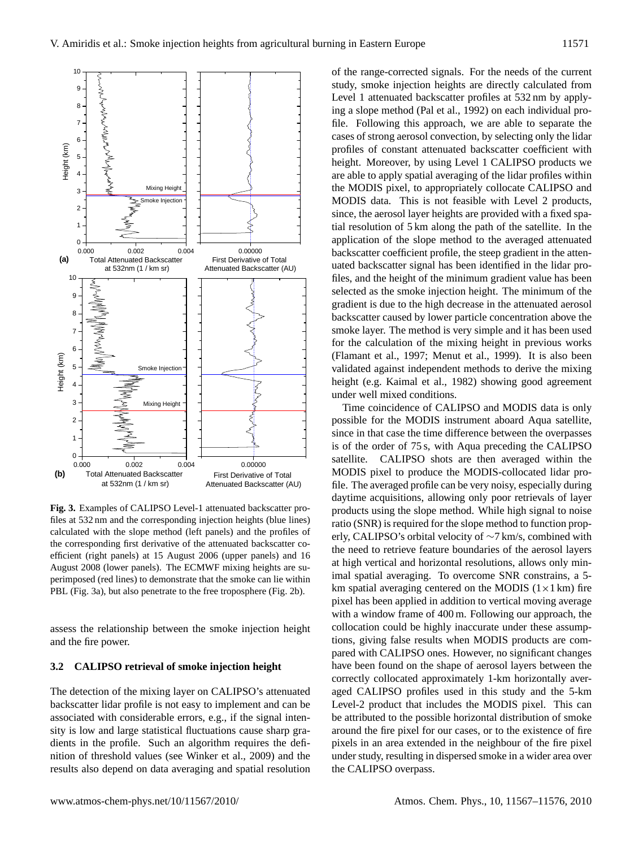

Examples of CALIPSO Level-1 attenuated bac files at 532 nm and the corresponding injection heights (blue lines) Fig. 3. Examples of CALIPSO Level-1 attenuated backscatter procalculated with the slope method (left panels) and the profiles of the corresponding first derivative of the attenuated backscatter coefficient (right panels) at 15 August 2006 (upper panels) and 16 August 2008 (lower panels). The ECMWF mixing heights are superimposed (red lines) to demonstrate that the smoke can lie within PBL (Fig. 3a), but also penetrate to the free troposphere (Fig. 2b).

assess the relationship between the smoke injection height and the fire power.

### **3.2 CALIPSO retrieval of smoke injection height**

The detection of the mixing layer on CALIPSO's attenuated backscatter lidar profile is not easy to implement and can be associated with considerable errors, e.g., if the signal intensity is low and large statistical fluctuations cause sharp gradients in the profile. Such an algorithm requires the definition of threshold values (see Winker et al., 2009) and the results also depend on data averaging and spatial resolution

of the range-corrected signals. For the needs of the current study, smoke injection heights are directly calculated from Level 1 attenuated backscatter profiles at 532 nm by applying a slope method (Pal et al., 1992) on each individual profile. Following this approach, we are able to separate the cases of strong aerosol convection, by selecting only the lidar profiles of constant attenuated backscatter coefficient with height. Moreover, by using Level 1 CALIPSO products we are able to apply spatial averaging of the lidar profiles within the MODIS pixel, to appropriately collocate CALIPSO and MODIS data. This is not feasible with Level 2 products, since, the aerosol layer heights are provided with a fixed spatial resolution of 5 km along the path of the satellite. In the application of the slope method to the averaged attenuated backscatter coefficient profile, the steep gradient in the attenuated backscatter signal has been identified in the lidar profiles, and the height of the minimum gradient value has been selected as the smoke injection height. The minimum of the gradient is due to the high decrease in the attenuated aerosol backscatter caused by lower particle concentration above the smoke layer. The method is very simple and it has been used for the calculation of the mixing height in previous works (Flamant et al., 1997; Menut et al., 1999). It is also been validated against independent methods to derive the mixing height (e.g. Kaimal et al., 1982) showing good agreement under well mixed conditions.

at high vertical and horizontal resolutions, allows only min-<br>imal gratial sympaig. To systems SNB constrains a 5 **Figure 3**  erly, CALIPSO's orbital velocity of ∼7 km/s, combined with Time coincidence of CALIPSO and MODIS data is only possible for the MODIS instrument aboard Aqua satellite, since in that case the time difference between the overpasses is of the order of 75 s, with Aqua preceding the CALIPSO satellite. CALIPSO shots are then averaged within the MODIS pixel to produce the MODIS-collocated lidar profile. The averaged profile can be very noisy, especially during daytime acquisitions, allowing only poor retrievals of layer products using the slope method. While high signal to noise ratio (SNR) is required for the slope method to function propthe need to retrieve feature boundaries of the aerosol layers imal spatial averaging. To overcome SNR constrains, a 5 km spatial averaging centered on the MODIS  $(1 \times 1 \text{ km})$  fire pixel has been applied in addition to vertical moving average with a window frame of 400 m. Following our approach, the collocation could be highly inaccurate under these assumptions, giving false results when MODIS products are compared with CALIPSO ones. However, no significant changes have been found on the shape of aerosol layers between the correctly collocated approximately 1-km horizontally averaged CALIPSO profiles used in this study and the 5-km Level-2 product that includes the MODIS pixel. This can be attributed to the possible horizontal distribution of smoke around the fire pixel for our cases, or to the existence of fire pixels in an area extended in the neighbour of the fire pixel under study, resulting in dispersed smoke in a wider area over the CALIPSO overpass.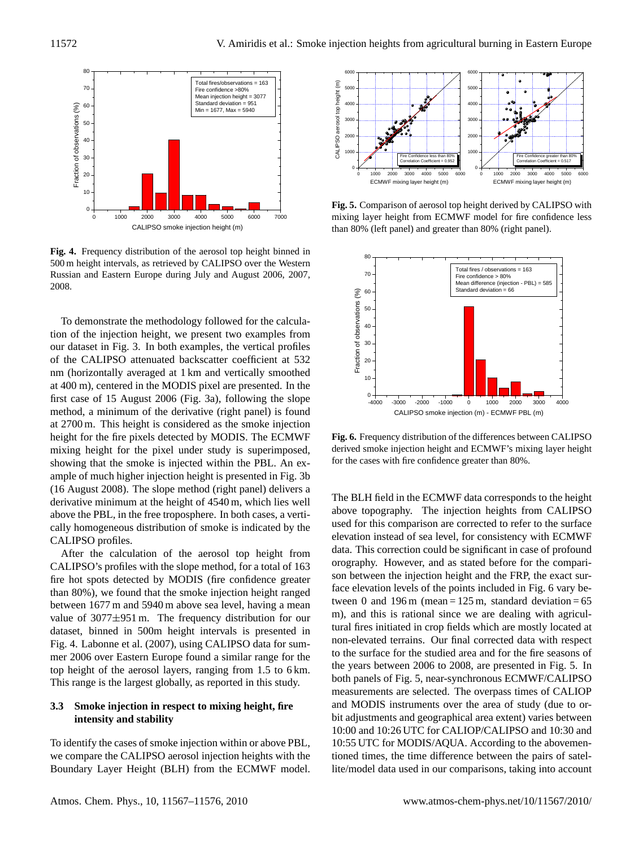

**Figure 4**  500 m height intervals, as retrieved by CALIPSO over the Western **Fig. 4.** Frequency distribution of the aerosol top height binned in Russian and Eastern Europe during July and August 2006, 2007, 2008.

To demonstrate the methodology followed for the calculation of the injection height, we present two examples from our dataset in Fig. 3. In both examples, the vertical profiles of the CALIPSO attenuated backscatter coefficient at 532 nm (horizontally averaged at 1 km and vertically smoothed at 400 m), centered in the MODIS pixel are presented. In the first case of 15 August 2006 (Fig. 3a), following the slope method, a minimum of the derivative (right panel) is found at 2700 m. This height is considered as the smoke injection height for the fire pixels detected by MODIS. The ECMWF mixing height for the pixel under study is superimposed, showing that the smoke is injected within the PBL. An example of much higher injection height is presented in Fig. 3b (16 August 2008). The slope method (right panel) delivers a derivative minimum at the height of 4540 m, which lies well above the PBL, in the free troposphere. In both cases, a vertically homogeneous distribution of smoke is indicated by the CALIPSO profiles.

After the calculation of the aerosol top height from CALIPSO's profiles with the slope method, for a total of 163 fire hot spots detected by MODIS (fire confidence greater than 80%), we found that the smoke injection height ranged between 1677 m and 5940 m above sea level, having a mean value of 3077±951 m. The frequency distribution for our dataset, binned in 500m height intervals is presented in Fig. 4. Labonne et al. (2007), using CALIPSO data for summer 2006 over Eastern Europe found a similar range for the top height of the aerosol layers, ranging from 1.5 to 6 km. This range is the largest globally, as reported in this study.

# **3.3 Smoke injection in respect to mixing height, fire intensity and stability**

To identify the cases of smoke injection within or above PBL, we compare the CALIPSO aerosol injection heights with the Boundary Layer Height (BLH) from the ECMWF model.



mixing layer height from ECMWF model for fire confidence less **Fig. 5.** Comparison of aerosol top height derived by CALIPSO with than 80% (left panel) and greater than 80% (right panel).



**Figure 6**  derived smoke injection height and ECMWF's mixing layer height **Fig. 6.** Frequency distribution of the differences between CALIPSO for the cases with fire confidence greater than 80%.

The BLH field in the ECMWF data corresponds to the height above topography. The injection heights from CALIPSO used for this comparison are corrected to refer to the surface elevation instead of sea level, for consistency with ECMWF data. This correction could be significant in case of profound orography. However, and as stated before for the comparison between the injection height and the FRP, the exact surface elevation levels of the points included in Fig. 6 vary between 0 and 196 m (mean  $= 125$  m, standard deviation  $= 65$ m), and this is rational since we are dealing with agricultural fires initiated in crop fields which are mostly located at non-elevated terrains. Our final corrected data with respect to the surface for the studied area and for the fire seasons of the years between 2006 to 2008, are presented in Fig. 5. In both panels of Fig. 5, near-synchronous ECMWF/CALIPSO measurements are selected. The overpass times of CALIOP and MODIS instruments over the area of study (due to orbit adjustments and geographical area extent) varies between 10:00 and 10:26 UTC for CALIOP/CALIPSO and 10:30 and 10:55 UTC for MODIS/AQUA. According to the abovementioned times, the time difference between the pairs of satellite/model data used in our comparisons, taking into account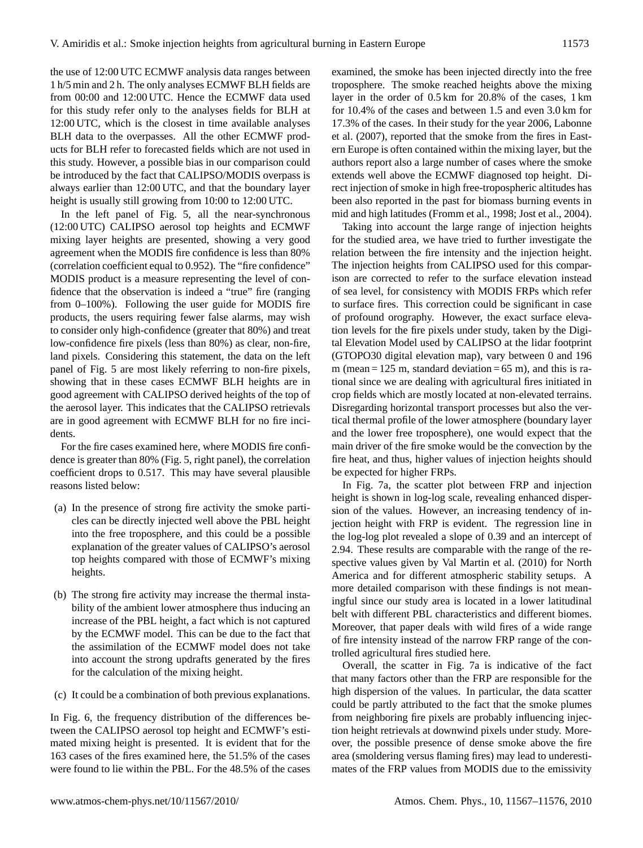the use of 12:00 UTC ECMWF analysis data ranges between 1 h/5 min and 2 h. The only analyses ECMWF BLH fields are from 00:00 and 12:00 UTC. Hence the ECMWF data used for this study refer only to the analyses fields for BLH at 12:00 UTC, which is the closest in time available analyses BLH data to the overpasses. All the other ECMWF products for BLH refer to forecasted fields which are not used in this study. However, a possible bias in our comparison could be introduced by the fact that CALIPSO/MODIS overpass is always earlier than 12:00 UTC, and that the boundary layer height is usually still growing from 10:00 to 12:00 UTC.

In the left panel of Fig. 5, all the near-synchronous (12:00 UTC) CALIPSO aerosol top heights and ECMWF mixing layer heights are presented, showing a very good agreement when the MODIS fire confidence is less than 80% (correlation coefficient equal to 0.952). The "fire confidence" MODIS product is a measure representing the level of confidence that the observation is indeed a "true" fire (ranging from 0–100%). Following the user guide for MODIS fire products, the users requiring fewer false alarms, may wish to consider only high-confidence (greater that 80%) and treat low-confidence fire pixels (less than 80%) as clear, non-fire, land pixels. Considering this statement, the data on the left panel of Fig. 5 are most likely referring to non-fire pixels, showing that in these cases ECMWF BLH heights are in good agreement with CALIPSO derived heights of the top of the aerosol layer. This indicates that the CALIPSO retrievals are in good agreement with ECMWF BLH for no fire incidents.

For the fire cases examined here, where MODIS fire confidence is greater than 80% (Fig. 5, right panel), the correlation coefficient drops to 0.517. This may have several plausible reasons listed below:

- (a) In the presence of strong fire activity the smoke particles can be directly injected well above the PBL height into the free troposphere, and this could be a possible explanation of the greater values of CALIPSO's aerosol top heights compared with those of ECMWF's mixing heights.
- (b) The strong fire activity may increase the thermal instability of the ambient lower atmosphere thus inducing an increase of the PBL height, a fact which is not captured by the ECMWF model. This can be due to the fact that the assimilation of the ECMWF model does not take into account the strong updrafts generated by the fires for the calculation of the mixing height.
- (c) It could be a combination of both previous explanations.

In Fig. 6, the frequency distribution of the differences between the CALIPSO aerosol top height and ECMWF's estimated mixing height is presented. It is evident that for the 163 cases of the fires examined here, the 51.5% of the cases were found to lie within the PBL. For the 48.5% of the cases examined, the smoke has been injected directly into the free troposphere. The smoke reached heights above the mixing layer in the order of 0.5 km for 20.8% of the cases, 1 km for 10.4% of the cases and between 1.5 and even 3.0 km for 17.3% of the cases. In their study for the year 2006, Labonne et al. (2007), reported that the smoke from the fires in Eastern Europe is often contained within the mixing layer, but the authors report also a large number of cases where the smoke extends well above the ECMWF diagnosed top height. Direct injection of smoke in high free-tropospheric altitudes has been also reported in the past for biomass burning events in mid and high latitudes (Fromm et al., 1998; Jost et al., 2004).

Taking into account the large range of injection heights for the studied area, we have tried to further investigate the relation between the fire intensity and the injection height. The injection heights from CALIPSO used for this comparison are corrected to refer to the surface elevation instead of sea level, for consistency with MODIS FRPs which refer to surface fires. This correction could be significant in case of profound orography. However, the exact surface elevation levels for the fire pixels under study, taken by the Digital Elevation Model used by CALIPSO at the lidar footprint (GTOPO30 digital elevation map), vary between 0 and 196 m (mean  $= 125$  m, standard deviation  $= 65$  m), and this is rational since we are dealing with agricultural fires initiated in crop fields which are mostly located at non-elevated terrains. Disregarding horizontal transport processes but also the vertical thermal profile of the lower atmosphere (boundary layer and the lower free troposphere), one would expect that the main driver of the fire smoke would be the convection by the fire heat, and thus, higher values of injection heights should be expected for higher FRPs.

In Fig. 7a, the scatter plot between FRP and injection height is shown in log-log scale, revealing enhanced dispersion of the values. However, an increasing tendency of injection height with FRP is evident. The regression line in the log-log plot revealed a slope of 0.39 and an intercept of 2.94. These results are comparable with the range of the respective values given by Val Martin et al. (2010) for North America and for different atmospheric stability setups. A more detailed comparison with these findings is not meaningful since our study area is located in a lower latitudinal belt with different PBL characteristics and different biomes. Moreover, that paper deals with wild fires of a wide range of fire intensity instead of the narrow FRP range of the controlled agricultural fires studied here.

Overall, the scatter in Fig. 7a is indicative of the fact that many factors other than the FRP are responsible for the high dispersion of the values. In particular, the data scatter could be partly attributed to the fact that the smoke plumes from neighboring fire pixels are probably influencing injection height retrievals at downwind pixels under study. Moreover, the possible presence of dense smoke above the fire area (smoldering versus flaming fires) may lead to underestimates of the FRP values from MODIS due to the emissivity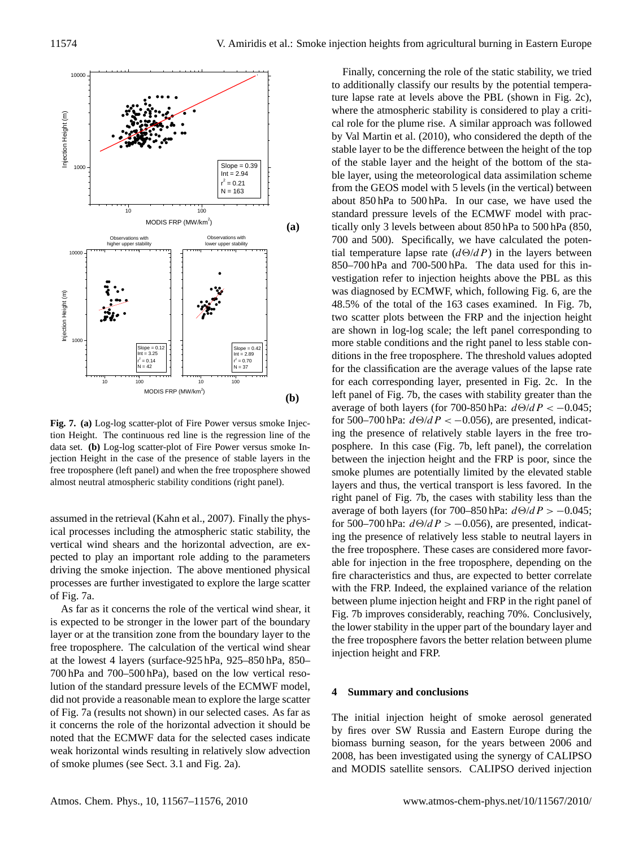

Fig. 7. (a) Log-log scatter-plot of Fire Power versus smoke Injec- $\mathbf{H}_{\text{g}}(\mathbf{h}, \mathbf{w})$  and  $\mathbf{b}_{\text{g}}$  is the continuous red line is the regression line of the **Figure 7** almost neutral atmospheric stability conditions (right panel). data set. (b) Log-log scatter-plot of Fire Power versus smoke Injection Height in the case of the presence of stable layers in the free troposphere (left panel) and when the free troposphere showed

assumed in the retrieval (Kahn et al., 2007). Finally the physical processes including the atmospheric static stability, the vertical wind shears and the horizontal advection, are expected to play an important role adding to the parameters driving the smoke injection. The above mentioned physical processes are further investigated to explore the large scatter of Fig. 7a.

As far as it concerns the role of the vertical wind shear, it is expected to be stronger in the lower part of the boundary layer or at the transition zone from the boundary layer to the free troposphere. The calculation of the vertical wind shear at the lowest 4 layers (surface-925 hPa, 925–850 hPa, 850– 700 hPa and 700–500 hPa), based on the low vertical resolution of the standard pressure levels of the ECMWF model, did not provide a reasonable mean to explore the large scatter of Fig. 7a (results not shown) in our selected cases. As far as it concerns the role of the horizontal advection it should be noted that the ECMWF data for the selected cases indicate weak horizontal winds resulting in relatively slow advection of smoke plumes (see Sect. 3.1 and Fig. 2a).

Finally, concerning the role of the static stability, we tried to additionally classify our results by the potential temperature lapse rate at levels above the PBL (shown in Fig. 2c), where the atmospheric stability is considered to play a critical role for the plume rise. A similar approach was followed by Val Martin et al. (2010), who considered the depth of the stable layer to be the difference between the height of the top of the stable layer and the height of the bottom of the stable layer, using the meteorological data assimilation scheme from the GEOS model with 5 levels (in the vertical) between about 850 hPa to 500 hPa. In our case, we have used the standard pressure levels of the ECMWF model with practically only 3 levels between about 850 hPa to 500 hPa (850, 700 and 500). Specifically, we have calculated the potential temperature lapse rate  $(d\Theta/dP)$  in the layers between 850–700 hPa and 700-500 hPa. The data used for this investigation refer to injection heights above the PBL as this was diagnosed by ECMWF, which, following Fig. 6, are the 48.5% of the total of the 163 cases examined. In Fig. 7b, two scatter plots between the FRP and the injection height are shown in log-log scale; the left panel corresponding to more stable conditions and the right panel to less stable conditions in the free troposphere. The threshold values adopted for the classification are the average values of the lapse rate for each corresponding layer, presented in Fig. 2c. In the left panel of Fig. 7b, the cases with stability greater than the average of both layers (for 700-850 hPa:  $d\Theta/dP < -0.045$ ; for 500–700 hPa:  $d\Theta/dP <$  -0.056), are presented, indicating the presence of relatively stable layers in the free troposphere. In this case (Fig. 7b, left panel), the correlation between the injection height and the FRP is poor, since the smoke plumes are potentially limited by the elevated stable layers and thus, the vertical transport is less favored. In the right panel of Fig. 7b, the cases with stability less than the average of both layers (for 700–850 hPa:  $d\Theta/dP > -0.045$ ; for 500–700 hPa:  $d\Theta/dP > -0.056$ ), are presented, indicating the presence of relatively less stable to neutral layers in the free troposphere. These cases are considered more favorable for injection in the free troposphere, depending on the fire characteristics and thus, are expected to better correlate with the FRP. Indeed, the explained variance of the relation between plume injection height and FRP in the right panel of Fig. 7b improves considerably, reaching 70%. Conclusively, the lower stability in the upper part of the boundary layer and the free troposphere favors the better relation between plume injection height and FRP.

#### **4 Summary and conclusions**

The initial injection height of smoke aerosol generated by fires over SW Russia and Eastern Europe during the biomass burning season, for the years between 2006 and 2008, has been investigated using the synergy of CALIPSO and MODIS satellite sensors. CALIPSO derived injection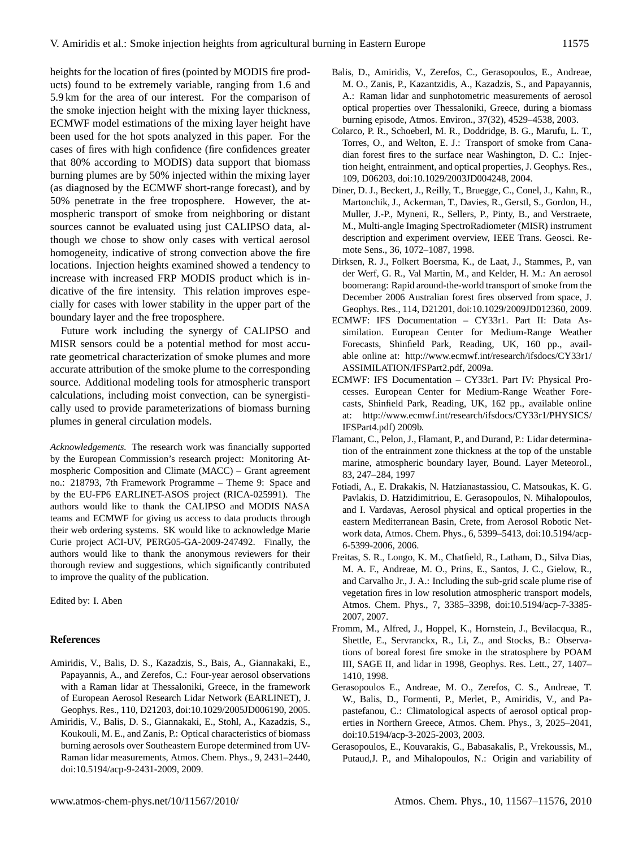heights for the location of fires (pointed by MODIS fire products) found to be extremely variable, ranging from 1.6 and 5.9 km for the area of our interest. For the comparison of the smoke injection height with the mixing layer thickness, ECMWF model estimations of the mixing layer height have been used for the hot spots analyzed in this paper. For the cases of fires with high confidence (fire confidences greater that 80% according to MODIS) data support that biomass burning plumes are by 50% injected within the mixing layer (as diagnosed by the ECMWF short-range forecast), and by 50% penetrate in the free troposphere. However, the atmospheric transport of smoke from neighboring or distant sources cannot be evaluated using just CALIPSO data, although we chose to show only cases with vertical aerosol homogeneity, indicative of strong convection above the fire locations. Injection heights examined showed a tendency to increase with increased FRP MODIS product which is indicative of the fire intensity. This relation improves especially for cases with lower stability in the upper part of the boundary layer and the free troposphere.

Future work including the synergy of CALIPSO and MISR sensors could be a potential method for most accurate geometrical characterization of smoke plumes and more accurate attribution of the smoke plume to the corresponding source. Additional modeling tools for atmospheric transport calculations, including moist convection, can be synergistically used to provide parameterizations of biomass burning plumes in general circulation models.

*Acknowledgements.* The research work was financially supported by the European Commission's research project: Monitoring Atmospheric Composition and Climate (MACC) – Grant agreement no.: 218793, 7th Framework Programme – Theme 9: Space and by the EU-FP6 EARLINET-ASOS project (RICA-025991). The authors would like to thank the CALIPSO and MODIS NASA teams and ECMWF for giving us access to data products through their web ordering systems. SK would like to acknowledge Marie Curie project ACI-UV, PERG05-GA-2009-247492. Finally, the authors would like to thank the anonymous reviewers for their thorough review and suggestions, which significantly contributed to improve the quality of the publication.

Edited by: I. Aben

## **References**

- Amiridis, V., Balis, D. S., Kazadzis, S., Bais, A., Giannakaki, E., Papayannis, A., and Zerefos, C.: Four-year aerosol observations with a Raman lidar at Thessaloniki, Greece, in the framework of European Aerosol Research Lidar Network (EARLINET), J. Geophys. Res., 110, D21203, doi:10.1029/2005JD006190, 2005.
- Amiridis, V., Balis, D. S., Giannakaki, E., Stohl, A., Kazadzis, S., Koukouli, M. E., and Zanis, P.: Optical characteristics of biomass burning aerosols over Southeastern Europe determined from UV-Raman lidar measurements, Atmos. Chem. Phys., 9, 2431–2440, doi:10.5194/acp-9-2431-2009, 2009.
- Balis, D., Amiridis, V., Zerefos, C., Gerasopoulos, E., Andreae, M. O., Zanis, P., Kazantzidis, A., Kazadzis, S., and Papayannis, A.: Raman lidar and sunphotometric measurements of aerosol optical properties over Thessaloniki, Greece, during a biomass burning episode, Atmos. Environ., 37(32), 4529–4538, 2003.
- Colarco, P. R., Schoeberl, M. R., Doddridge, B. G., Marufu, L. T., Torres, O., and Welton, E. J.: Transport of smoke from Canadian forest fires to the surface near Washington, D. C.: Injection height, entrainment, and optical properties, J. Geophys. Res., 109, D06203, doi:10.1029/2003JD004248, 2004.
- Diner, D. J., Beckert, J., Reilly, T., Bruegge, C., Conel, J., Kahn, R., Martonchik, J., Ackerman, T., Davies, R., Gerstl, S., Gordon, H., Muller, J.-P., Myneni, R., Sellers, P., Pinty, B., and Verstraete, M., Multi-angle Imaging SpectroRadiometer (MISR) instrument description and experiment overview, IEEE Trans. Geosci. Remote Sens., 36, 1072–1087, 1998.
- Dirksen, R. J., Folkert Boersma, K., de Laat, J., Stammes, P., van der Werf, G. R., Val Martin, M., and Kelder, H. M.: An aerosol boomerang: Rapid around-the-world transport of smoke from the December 2006 Australian forest fires observed from space, J. Geophys. Res., 114, D21201, doi:10.1029/2009JD012360, 2009.
- ECMWF: IFS Documentation CY33r1. Part II: Data Assimilation. European Center for Medium-Range Weather Forecasts, Shinfield Park, Reading, UK, 160 pp., available online at: [http://www.ecmwf.int/research/ifsdocs/CY33r1/](http://www.ecmwf.int/research/ifsdocs/CY33r1/ASSIMILATION/IFSPart2.pdf) [ASSIMILATION/IFSPart2.pdf,](http://www.ecmwf.int/research/ifsdocs/CY33r1/ASSIMILATION/IFSPart2.pdf) 2009a.
- ECMWF: IFS Documentation CY33r1. Part IV: Physical Processes. European Center for Medium-Range Weather Forecasts, Shinfield Park, Reading, UK, 162 pp., available online at: [http://www.ecmwf.int/research/ifsdocs/CY33r1/PHYSICS/](http://www.ecmwf.int/research/ifsdocs/CY33r1/PHYSICS/IFSPart4.pdf) [IFSPart4.pdf\)](http://www.ecmwf.int/research/ifsdocs/CY33r1/PHYSICS/IFSPart4.pdf) 2009b.
- Flamant, C., Pelon, J., Flamant, P., and Durand, P.: Lidar determination of the entrainment zone thickness at the top of the unstable marine, atmospheric boundary layer, Bound. Layer Meteorol., 83, 247–284, 1997
- Fotiadi, A., E. Drakakis, N. Hatzianastassiou, C. Matsoukas, K. G. Pavlakis, D. Hatzidimitriou, E. Gerasopoulos, N. Mihalopoulos, and I. Vardavas, Aerosol physical and optical properties in the eastern Mediterranean Basin, Crete, from Aerosol Robotic Network data, Atmos. Chem. Phys., 6, 5399–5413, doi:10.5194/acp-6-5399-2006, 2006.
- Freitas, S. R., Longo, K. M., Chatfield, R., Latham, D., Silva Dias, M. A. F., Andreae, M. O., Prins, E., Santos, J. C., Gielow, R., and Carvalho Jr., J. A.: Including the sub-grid scale plume rise of vegetation fires in low resolution atmospheric transport models, Atmos. Chem. Phys., 7, 3385–3398, doi:10.5194/acp-7-3385- 2007, 2007.
- Fromm, M., Alfred, J., Hoppel, K., Hornstein, J., Bevilacqua, R., Shettle, E., Servranckx, R., Li, Z., and Stocks, B.: Observations of boreal forest fire smoke in the stratosphere by POAM III, SAGE II, and lidar in 1998, Geophys. Res. Lett., 27, 1407– 1410, 1998.
- Gerasopoulos E., Andreae, M. O., Zerefos, C. S., Andreae, T. W., Balis, D., Formenti, P., Merlet, P., Amiridis, V., and Papastefanou, C.: Climatological aspects of aerosol optical properties in Northern Greece, Atmos. Chem. Phys., 3, 2025–2041, doi:10.5194/acp-3-2025-2003, 2003.
- Gerasopoulos, E., Kouvarakis, G., Babasakalis, P., Vrekoussis, M., Putaud,J. P., and Mihalopoulos, N.: Origin and variability of